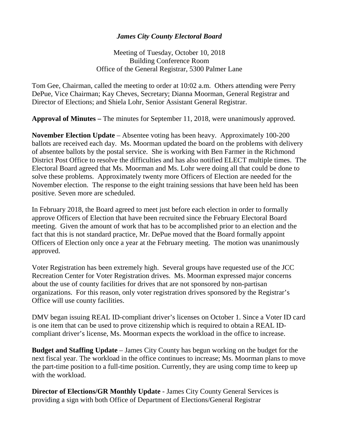## *James City County Electoral Board*

Meeting of Tuesday, October 10, 2018 Building Conference Room Office of the General Registrar, 5300 Palmer Lane

Tom Gee, Chairman, called the meeting to order at 10:02 a.m. Others attending were Perry DePue, Vice Chairman; Kay Cheves, Secretary; Dianna Moorman, General Registrar and Director of Elections; and Shiela Lohr, Senior Assistant General Registrar.

**Approval of Minutes –** The minutes for September 11, 2018, were unanimously approved.

**November Election Update** – Absentee voting has been heavy. Approximately 100-200 ballots are received each day. Ms. Moorman updated the board on the problems with delivery of absentee ballots by the postal service. She is working with Ben Farmer in the Richmond District Post Office to resolve the difficulties and has also notified ELECT multiple times. The Electoral Board agreed that Ms. Moorman and Ms. Lohr were doing all that could be done to solve these problems. Approximately twenty more Officers of Election are needed for the November election. The response to the eight training sessions that have been held has been positive. Seven more are scheduled.

In February 2018, the Board agreed to meet just before each election in order to formally approve Officers of Election that have been recruited since the February Electoral Board meeting. Given the amount of work that has to be accomplished prior to an election and the fact that this is not standard practice, Mr. DePue moved that the Board formally appoint Officers of Election only once a year at the February meeting. The motion was unanimously approved.

Voter Registration has been extremely high. Several groups have requested use of the JCC Recreation Center for Voter Registration drives. Ms. Moorman expressed major concerns about the use of county facilities for drives that are not sponsored by non-partisan organizations. For this reason, only voter registration drives sponsored by the Registrar's Office will use county facilities.

DMV began issuing REAL ID-compliant driver's licenses on October 1. Since a Voter ID card is one item that can be used to prove citizenship which is required to obtain a REAL IDcompliant driver's license, Ms. Moorman expects the workload in the office to increase.

**Budget and Staffing Update** – James City County has begun working on the budget for the next fiscal year. The workload in the office continues to increase; Ms. Moorman plans to move the part-time position to a full-time position. Currently, they are using comp time to keep up with the workload.

**Director of Elections/GR Monthly Update** - James City County General Services is providing a sign with both Office of Department of Elections/General Registrar